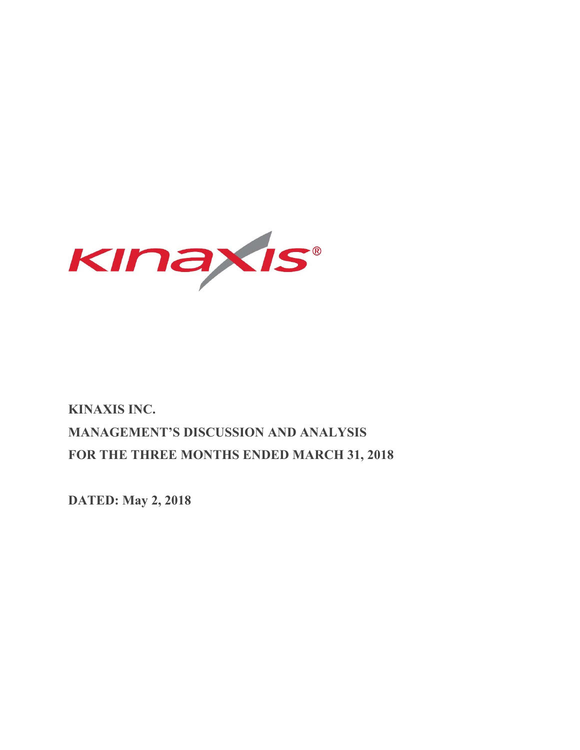

# **KINAXIS INC. MANAGEMENT'S DISCUSSION AND ANALYSIS FOR THE THREE MONTHS ENDED MARCH 31, 2018**

**DATED: May 2, 2018**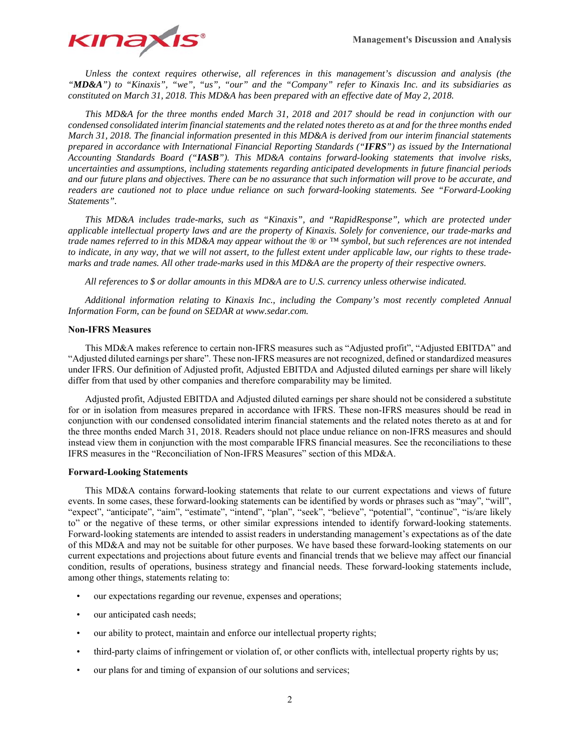

*Unless the context requires otherwise, all references in this management's discussion and analysis (the "MD&A") to "Kinaxis", "we", "us", "our" and the "Company" refer to Kinaxis Inc. and its subsidiaries as constituted on March 31, 2018. This MD&A has been prepared with an effective date of May 2, 2018.* 

*This MD&A for the three months ended March 31, 2018 and 2017 should be read in conjunction with our condensed consolidated interim financial statements and the related notes thereto as at and for the three months ended March 31, 2018. The financial information presented in this MD&A is derived from our interim financial statements prepared in accordance with International Financial Reporting Standards ("IFRS") as issued by the International Accounting Standards Board ("IASB"). This MD&A contains forward-looking statements that involve risks, uncertainties and assumptions, including statements regarding anticipated developments in future financial periods and our future plans and objectives. There can be no assurance that such information will prove to be accurate, and readers are cautioned not to place undue reliance on such forward-looking statements. See "Forward-Looking Statements".* 

*This MD&A includes trade-marks, such as "Kinaxis", and "RapidResponse", which are protected under applicable intellectual property laws and are the property of Kinaxis. Solely for convenience, our trade-marks and trade names referred to in this MD&A may appear without the ® or ™ symbol, but such references are not intended to indicate, in any way, that we will not assert, to the fullest extent under applicable law, our rights to these trademarks and trade names. All other trade-marks used in this MD&A are the property of their respective owners.* 

*All references to \$ or dollar amounts in this MD&A are to U.S. currency unless otherwise indicated.* 

*Additional information relating to Kinaxis Inc., including the Company's most recently completed Annual Information Form, can be found on SEDAR at www.sedar.com.* 

#### **Non-IFRS Measures**

This MD&A makes reference to certain non-IFRS measures such as "Adjusted profit", "Adjusted EBITDA" and "Adjusted diluted earnings per share". These non-IFRS measures are not recognized, defined or standardized measures under IFRS. Our definition of Adjusted profit, Adjusted EBITDA and Adjusted diluted earnings per share will likely differ from that used by other companies and therefore comparability may be limited.

Adjusted profit, Adjusted EBITDA and Adjusted diluted earnings per share should not be considered a substitute for or in isolation from measures prepared in accordance with IFRS. These non-IFRS measures should be read in conjunction with our condensed consolidated interim financial statements and the related notes thereto as at and for the three months ended March 31, 2018. Readers should not place undue reliance on non-IFRS measures and should instead view them in conjunction with the most comparable IFRS financial measures. See the reconciliations to these IFRS measures in the "Reconciliation of Non-IFRS Measures" section of this MD&A.

#### **Forward-Looking Statements**

This MD&A contains forward-looking statements that relate to our current expectations and views of future events. In some cases, these forward-looking statements can be identified by words or phrases such as "may", "will", "expect", "anticipate", "aim", "estimate", "intend", "plan", "seek", "believe", "potential", "continue", "is/are likely to" or the negative of these terms, or other similar expressions intended to identify forward-looking statements. Forward-looking statements are intended to assist readers in understanding management's expectations as of the date of this MD&A and may not be suitable for other purposes. We have based these forward-looking statements on our current expectations and projections about future events and financial trends that we believe may affect our financial condition, results of operations, business strategy and financial needs. These forward-looking statements include, among other things, statements relating to:

- our expectations regarding our revenue, expenses and operations;
- our anticipated cash needs;
- our ability to protect, maintain and enforce our intellectual property rights;
- third-party claims of infringement or violation of, or other conflicts with, intellectual property rights by us;
- our plans for and timing of expansion of our solutions and services;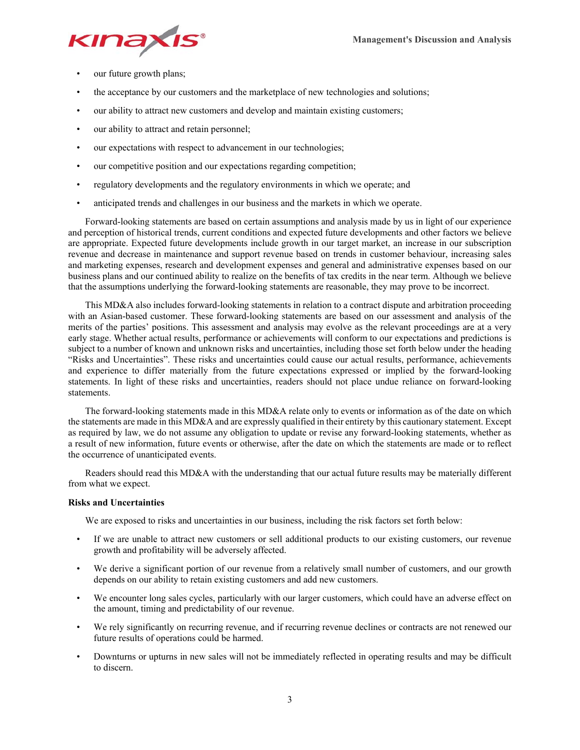

- our future growth plans;
- the acceptance by our customers and the marketplace of new technologies and solutions;
- our ability to attract new customers and develop and maintain existing customers;
- our ability to attract and retain personnel;
- our expectations with respect to advancement in our technologies;
- our competitive position and our expectations regarding competition;
- regulatory developments and the regulatory environments in which we operate; and
- anticipated trends and challenges in our business and the markets in which we operate.

Forward-looking statements are based on certain assumptions and analysis made by us in light of our experience and perception of historical trends, current conditions and expected future developments and other factors we believe are appropriate. Expected future developments include growth in our target market, an increase in our subscription revenue and decrease in maintenance and support revenue based on trends in customer behaviour, increasing sales and marketing expenses, research and development expenses and general and administrative expenses based on our business plans and our continued ability to realize on the benefits of tax credits in the near term. Although we believe that the assumptions underlying the forward-looking statements are reasonable, they may prove to be incorrect.

This MD&A also includes forward-looking statements in relation to a contract dispute and arbitration proceeding with an Asian-based customer. These forward-looking statements are based on our assessment and analysis of the merits of the parties' positions. This assessment and analysis may evolve as the relevant proceedings are at a very early stage. Whether actual results, performance or achievements will conform to our expectations and predictions is subject to a number of known and unknown risks and uncertainties, including those set forth below under the heading "Risks and Uncertainties". These risks and uncertainties could cause our actual results, performance, achievements and experience to differ materially from the future expectations expressed or implied by the forward-looking statements. In light of these risks and uncertainties, readers should not place undue reliance on forward-looking statements.

The forward-looking statements made in this MD&A relate only to events or information as of the date on which the statements are made in this MD&A and are expressly qualified in their entirety by this cautionary statement. Except as required by law, we do not assume any obligation to update or revise any forward-looking statements, whether as a result of new information, future events or otherwise, after the date on which the statements are made or to reflect the occurrence of unanticipated events.

Readers should read this MD&A with the understanding that our actual future results may be materially different from what we expect.

# **Risks and Uncertainties**

We are exposed to risks and uncertainties in our business, including the risk factors set forth below:

- If we are unable to attract new customers or sell additional products to our existing customers, our revenue growth and profitability will be adversely affected.
- We derive a significant portion of our revenue from a relatively small number of customers, and our growth depends on our ability to retain existing customers and add new customers.
- We encounter long sales cycles, particularly with our larger customers, which could have an adverse effect on the amount, timing and predictability of our revenue.
- We rely significantly on recurring revenue, and if recurring revenue declines or contracts are not renewed our future results of operations could be harmed.
- Downturns or upturns in new sales will not be immediately reflected in operating results and may be difficult to discern.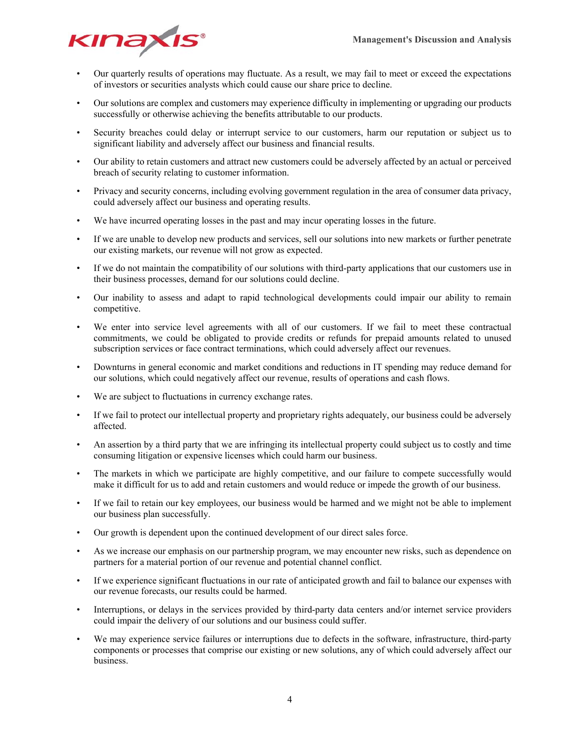

- Our quarterly results of operations may fluctuate. As a result, we may fail to meet or exceed the expectations of investors or securities analysts which could cause our share price to decline.
- Our solutions are complex and customers may experience difficulty in implementing or upgrading our products successfully or otherwise achieving the benefits attributable to our products.
- Security breaches could delay or interrupt service to our customers, harm our reputation or subject us to significant liability and adversely affect our business and financial results.
- Our ability to retain customers and attract new customers could be adversely affected by an actual or perceived breach of security relating to customer information.
- Privacy and security concerns, including evolving government regulation in the area of consumer data privacy, could adversely affect our business and operating results.
- We have incurred operating losses in the past and may incur operating losses in the future.
- If we are unable to develop new products and services, sell our solutions into new markets or further penetrate our existing markets, our revenue will not grow as expected.
- If we do not maintain the compatibility of our solutions with third-party applications that our customers use in their business processes, demand for our solutions could decline.
- Our inability to assess and adapt to rapid technological developments could impair our ability to remain competitive.
- We enter into service level agreements with all of our customers. If we fail to meet these contractual commitments, we could be obligated to provide credits or refunds for prepaid amounts related to unused subscription services or face contract terminations, which could adversely affect our revenues.
- Downturns in general economic and market conditions and reductions in IT spending may reduce demand for our solutions, which could negatively affect our revenue, results of operations and cash flows.
- We are subject to fluctuations in currency exchange rates.
- If we fail to protect our intellectual property and proprietary rights adequately, our business could be adversely affected.
- An assertion by a third party that we are infringing its intellectual property could subject us to costly and time consuming litigation or expensive licenses which could harm our business.
- The markets in which we participate are highly competitive, and our failure to compete successfully would make it difficult for us to add and retain customers and would reduce or impede the growth of our business.
- If we fail to retain our key employees, our business would be harmed and we might not be able to implement our business plan successfully.
- Our growth is dependent upon the continued development of our direct sales force.
- As we increase our emphasis on our partnership program, we may encounter new risks, such as dependence on partners for a material portion of our revenue and potential channel conflict.
- If we experience significant fluctuations in our rate of anticipated growth and fail to balance our expenses with our revenue forecasts, our results could be harmed.
- Interruptions, or delays in the services provided by third-party data centers and/or internet service providers could impair the delivery of our solutions and our business could suffer.
- We may experience service failures or interruptions due to defects in the software, infrastructure, third-party components or processes that comprise our existing or new solutions, any of which could adversely affect our business.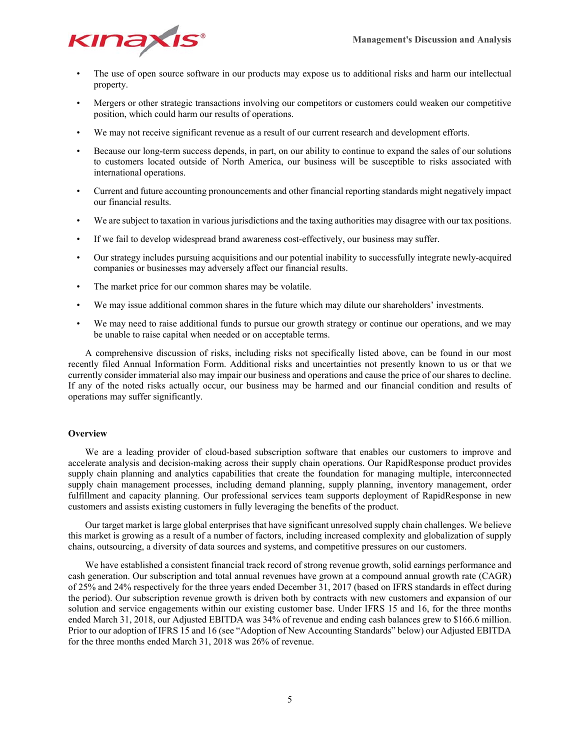

- The use of open source software in our products may expose us to additional risks and harm our intellectual property.
- Mergers or other strategic transactions involving our competitors or customers could weaken our competitive position, which could harm our results of operations.
- We may not receive significant revenue as a result of our current research and development efforts.
- Because our long-term success depends, in part, on our ability to continue to expand the sales of our solutions to customers located outside of North America, our business will be susceptible to risks associated with international operations.
- Current and future accounting pronouncements and other financial reporting standards might negatively impact our financial results.
- We are subject to taxation in various jurisdictions and the taxing authorities may disagree with our tax positions.
- If we fail to develop widespread brand awareness cost-effectively, our business may suffer.
- Our strategy includes pursuing acquisitions and our potential inability to successfully integrate newly-acquired companies or businesses may adversely affect our financial results.
- The market price for our common shares may be volatile.
- We may issue additional common shares in the future which may dilute our shareholders' investments.
- We may need to raise additional funds to pursue our growth strategy or continue our operations, and we may be unable to raise capital when needed or on acceptable terms.

A comprehensive discussion of risks, including risks not specifically listed above, can be found in our most recently filed Annual Information Form. Additional risks and uncertainties not presently known to us or that we currently consider immaterial also may impair our business and operations and cause the price of our shares to decline. If any of the noted risks actually occur, our business may be harmed and our financial condition and results of operations may suffer significantly.

## **Overview**

We are a leading provider of cloud-based subscription software that enables our customers to improve and accelerate analysis and decision-making across their supply chain operations. Our RapidResponse product provides supply chain planning and analytics capabilities that create the foundation for managing multiple, interconnected supply chain management processes, including demand planning, supply planning, inventory management, order fulfillment and capacity planning. Our professional services team supports deployment of RapidResponse in new customers and assists existing customers in fully leveraging the benefits of the product.

Our target market is large global enterprises that have significant unresolved supply chain challenges. We believe this market is growing as a result of a number of factors, including increased complexity and globalization of supply chains, outsourcing, a diversity of data sources and systems, and competitive pressures on our customers.

We have established a consistent financial track record of strong revenue growth, solid earnings performance and cash generation. Our subscription and total annual revenues have grown at a compound annual growth rate (CAGR) of 25% and 24% respectively for the three years ended December 31, 2017 (based on IFRS standards in effect during the period). Our subscription revenue growth is driven both by contracts with new customers and expansion of our solution and service engagements within our existing customer base. Under IFRS 15 and 16, for the three months ended March 31, 2018, our Adjusted EBITDA was 34% of revenue and ending cash balances grew to \$166.6 million. Prior to our adoption of IFRS 15 and 16 (see "Adoption of New Accounting Standards" below) our Adjusted EBITDA for the three months ended March 31, 2018 was 26% of revenue.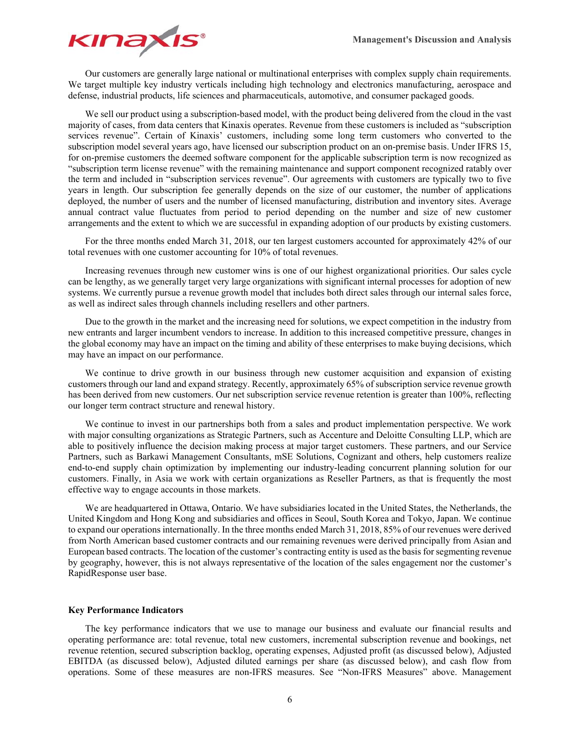

Our customers are generally large national or multinational enterprises with complex supply chain requirements. We target multiple key industry verticals including high technology and electronics manufacturing, aerospace and defense, industrial products, life sciences and pharmaceuticals, automotive, and consumer packaged goods.

We sell our product using a subscription-based model, with the product being delivered from the cloud in the vast majority of cases, from data centers that Kinaxis operates. Revenue from these customers is included as "subscription services revenue". Certain of Kinaxis' customers, including some long term customers who converted to the subscription model several years ago, have licensed our subscription product on an on-premise basis. Under IFRS 15, for on-premise customers the deemed software component for the applicable subscription term is now recognized as "subscription term license revenue" with the remaining maintenance and support component recognized ratably over the term and included in "subscription services revenue". Our agreements with customers are typically two to five years in length. Our subscription fee generally depends on the size of our customer, the number of applications deployed, the number of users and the number of licensed manufacturing, distribution and inventory sites. Average annual contract value fluctuates from period to period depending on the number and size of new customer arrangements and the extent to which we are successful in expanding adoption of our products by existing customers.

For the three months ended March 31, 2018, our ten largest customers accounted for approximately 42% of our total revenues with one customer accounting for 10% of total revenues.

Increasing revenues through new customer wins is one of our highest organizational priorities. Our sales cycle can be lengthy, as we generally target very large organizations with significant internal processes for adoption of new systems. We currently pursue a revenue growth model that includes both direct sales through our internal sales force, as well as indirect sales through channels including resellers and other partners.

Due to the growth in the market and the increasing need for solutions, we expect competition in the industry from new entrants and larger incumbent vendors to increase. In addition to this increased competitive pressure, changes in the global economy may have an impact on the timing and ability of these enterprises to make buying decisions, which may have an impact on our performance.

We continue to drive growth in our business through new customer acquisition and expansion of existing customers through our land and expand strategy. Recently, approximately 65% of subscription service revenue growth has been derived from new customers. Our net subscription service revenue retention is greater than 100%, reflecting our longer term contract structure and renewal history.

We continue to invest in our partnerships both from a sales and product implementation perspective. We work with major consulting organizations as Strategic Partners, such as Accenture and Deloitte Consulting LLP, which are able to positively influence the decision making process at major target customers. These partners, and our Service Partners, such as Barkawi Management Consultants, mSE Solutions, Cognizant and others, help customers realize end-to-end supply chain optimization by implementing our industry-leading concurrent planning solution for our customers. Finally, in Asia we work with certain organizations as Reseller Partners, as that is frequently the most effective way to engage accounts in those markets.

We are headquartered in Ottawa, Ontario. We have subsidiaries located in the United States, the Netherlands, the United Kingdom and Hong Kong and subsidiaries and offices in Seoul, South Korea and Tokyo, Japan. We continue to expand our operations internationally. In the three months ended March 31, 2018, 85% of our revenues were derived from North American based customer contracts and our remaining revenues were derived principally from Asian and European based contracts. The location of the customer's contracting entity is used as the basis for segmenting revenue by geography, however, this is not always representative of the location of the sales engagement nor the customer's RapidResponse user base.

#### **Key Performance Indicators**

The key performance indicators that we use to manage our business and evaluate our financial results and operating performance are: total revenue, total new customers, incremental subscription revenue and bookings, net revenue retention, secured subscription backlog, operating expenses, Adjusted profit (as discussed below), Adjusted EBITDA (as discussed below), Adjusted diluted earnings per share (as discussed below), and cash flow from operations. Some of these measures are non-IFRS measures. See "Non-IFRS Measures" above. Management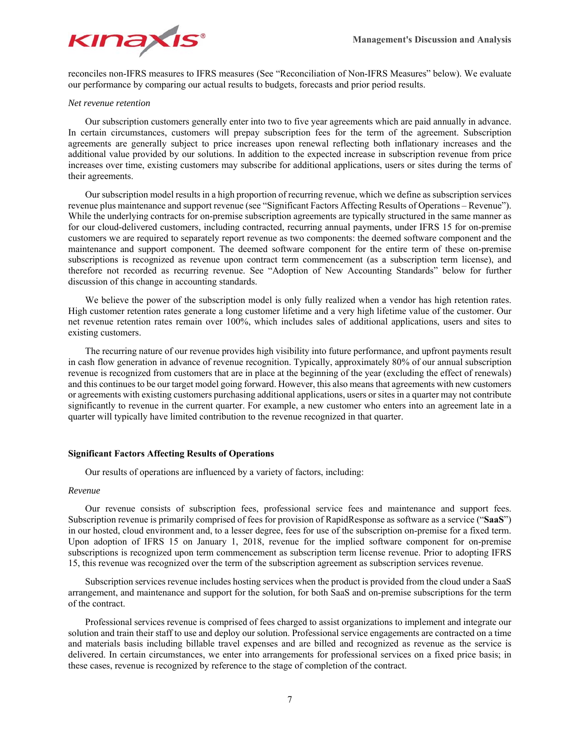

reconciles non-IFRS measures to IFRS measures (See "Reconciliation of Non-IFRS Measures" below). We evaluate our performance by comparing our actual results to budgets, forecasts and prior period results.

#### *Net revenue retention*

Our subscription customers generally enter into two to five year agreements which are paid annually in advance. In certain circumstances, customers will prepay subscription fees for the term of the agreement. Subscription agreements are generally subject to price increases upon renewal reflecting both inflationary increases and the additional value provided by our solutions. In addition to the expected increase in subscription revenue from price increases over time, existing customers may subscribe for additional applications, users or sites during the terms of their agreements.

Our subscription model results in a high proportion of recurring revenue, which we define as subscription services revenue plus maintenance and support revenue (see "Significant Factors Affecting Results of Operations – Revenue"). While the underlying contracts for on-premise subscription agreements are typically structured in the same manner as for our cloud-delivered customers, including contracted, recurring annual payments, under IFRS 15 for on-premise customers we are required to separately report revenue as two components: the deemed software component and the maintenance and support component. The deemed software component for the entire term of these on-premise subscriptions is recognized as revenue upon contract term commencement (as a subscription term license), and therefore not recorded as recurring revenue. See "Adoption of New Accounting Standards" below for further discussion of this change in accounting standards.

We believe the power of the subscription model is only fully realized when a vendor has high retention rates. High customer retention rates generate a long customer lifetime and a very high lifetime value of the customer. Our net revenue retention rates remain over 100%, which includes sales of additional applications, users and sites to existing customers.

The recurring nature of our revenue provides high visibility into future performance, and upfront payments result in cash flow generation in advance of revenue recognition. Typically, approximately 80% of our annual subscription revenue is recognized from customers that are in place at the beginning of the year (excluding the effect of renewals) and this continues to be our target model going forward. However, this also means that agreements with new customers or agreements with existing customers purchasing additional applications, users or sites in a quarter may not contribute significantly to revenue in the current quarter. For example, a new customer who enters into an agreement late in a quarter will typically have limited contribution to the revenue recognized in that quarter.

# **Significant Factors Affecting Results of Operations**

Our results of operations are influenced by a variety of factors, including:

# *Revenue*

Our revenue consists of subscription fees, professional service fees and maintenance and support fees. Subscription revenue is primarily comprised of fees for provision of RapidResponse as software as a service ("**SaaS**") in our hosted, cloud environment and, to a lesser degree, fees for use of the subscription on-premise for a fixed term. Upon adoption of IFRS 15 on January 1, 2018, revenue for the implied software component for on-premise subscriptions is recognized upon term commencement as subscription term license revenue. Prior to adopting IFRS 15, this revenue was recognized over the term of the subscription agreement as subscription services revenue.

Subscription services revenue includes hosting services when the product is provided from the cloud under a SaaS arrangement, and maintenance and support for the solution, for both SaaS and on-premise subscriptions for the term of the contract.

Professional services revenue is comprised of fees charged to assist organizations to implement and integrate our solution and train their staff to use and deploy our solution. Professional service engagements are contracted on a time and materials basis including billable travel expenses and are billed and recognized as revenue as the service is delivered. In certain circumstances, we enter into arrangements for professional services on a fixed price basis; in these cases, revenue is recognized by reference to the stage of completion of the contract.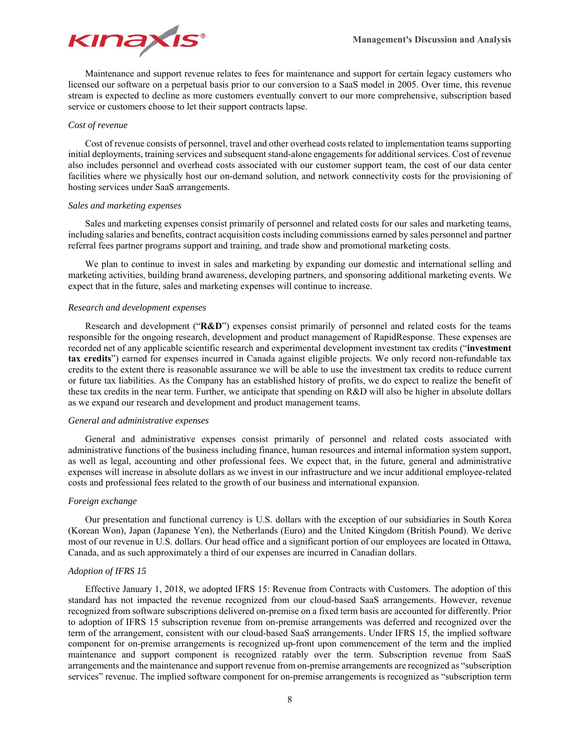

Maintenance and support revenue relates to fees for maintenance and support for certain legacy customers who licensed our software on a perpetual basis prior to our conversion to a SaaS model in 2005. Over time, this revenue stream is expected to decline as more customers eventually convert to our more comprehensive, subscription based service or customers choose to let their support contracts lapse.

#### *Cost of revenue*

Cost of revenue consists of personnel, travel and other overhead costs related to implementation teams supporting initial deployments, training services and subsequent stand-alone engagements for additional services. Cost of revenue also includes personnel and overhead costs associated with our customer support team, the cost of our data center facilities where we physically host our on-demand solution, and network connectivity costs for the provisioning of hosting services under SaaS arrangements.

## *Sales and marketing expenses*

Sales and marketing expenses consist primarily of personnel and related costs for our sales and marketing teams, including salaries and benefits, contract acquisition costs including commissions earned by sales personnel and partner referral fees partner programs support and training, and trade show and promotional marketing costs.

We plan to continue to invest in sales and marketing by expanding our domestic and international selling and marketing activities, building brand awareness, developing partners, and sponsoring additional marketing events. We expect that in the future, sales and marketing expenses will continue to increase.

#### *Research and development expenses*

Research and development ("**R&D**") expenses consist primarily of personnel and related costs for the teams responsible for the ongoing research, development and product management of RapidResponse. These expenses are recorded net of any applicable scientific research and experimental development investment tax credits ("**investment tax credits**") earned for expenses incurred in Canada against eligible projects. We only record non-refundable tax credits to the extent there is reasonable assurance we will be able to use the investment tax credits to reduce current or future tax liabilities. As the Company has an established history of profits, we do expect to realize the benefit of these tax credits in the near term. Further, we anticipate that spending on R&D will also be higher in absolute dollars as we expand our research and development and product management teams.

# *General and administrative expenses*

General and administrative expenses consist primarily of personnel and related costs associated with administrative functions of the business including finance, human resources and internal information system support, as well as legal, accounting and other professional fees. We expect that, in the future, general and administrative expenses will increase in absolute dollars as we invest in our infrastructure and we incur additional employee-related costs and professional fees related to the growth of our business and international expansion.

#### *Foreign exchange*

Our presentation and functional currency is U.S. dollars with the exception of our subsidiaries in South Korea (Korean Won), Japan (Japanese Yen), the Netherlands (Euro) and the United Kingdom (British Pound). We derive most of our revenue in U.S. dollars. Our head office and a significant portion of our employees are located in Ottawa, Canada, and as such approximately a third of our expenses are incurred in Canadian dollars.

#### *Adoption of IFRS 15*

Effective January 1, 2018, we adopted IFRS 15: Revenue from Contracts with Customers. The adoption of this standard has not impacted the revenue recognized from our cloud-based SaaS arrangements. However, revenue recognized from software subscriptions delivered on-premise on a fixed term basis are accounted for differently. Prior to adoption of IFRS 15 subscription revenue from on-premise arrangements was deferred and recognized over the term of the arrangement, consistent with our cloud-based SaaS arrangements. Under IFRS 15, the implied software component for on-premise arrangements is recognized up-front upon commencement of the term and the implied maintenance and support component is recognized ratably over the term. Subscription revenue from SaaS arrangements and the maintenance and support revenue from on-premise arrangements are recognized as "subscription services" revenue. The implied software component for on-premise arrangements is recognized as "subscription term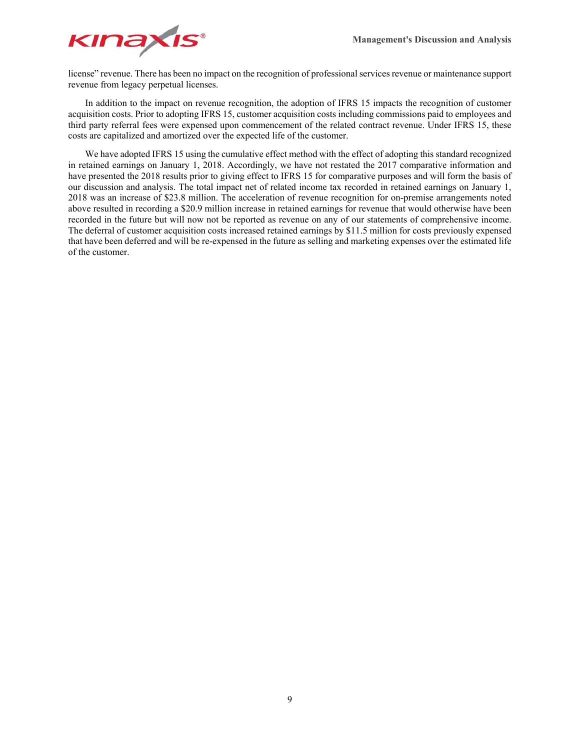

license" revenue. There has been no impact on the recognition of professional services revenue or maintenance support revenue from legacy perpetual licenses.

In addition to the impact on revenue recognition, the adoption of IFRS 15 impacts the recognition of customer acquisition costs. Prior to adopting IFRS 15, customer acquisition costs including commissions paid to employees and third party referral fees were expensed upon commencement of the related contract revenue. Under IFRS 15, these costs are capitalized and amortized over the expected life of the customer.

We have adopted IFRS 15 using the cumulative effect method with the effect of adopting this standard recognized in retained earnings on January 1, 2018. Accordingly, we have not restated the 2017 comparative information and have presented the 2018 results prior to giving effect to IFRS 15 for comparative purposes and will form the basis of our discussion and analysis. The total impact net of related income tax recorded in retained earnings on January 1, 2018 was an increase of \$23.8 million. The acceleration of revenue recognition for on-premise arrangements noted above resulted in recording a \$20.9 million increase in retained earnings for revenue that would otherwise have been recorded in the future but will now not be reported as revenue on any of our statements of comprehensive income. The deferral of customer acquisition costs increased retained earnings by \$11.5 million for costs previously expensed that have been deferred and will be re-expensed in the future as selling and marketing expenses over the estimated life of the customer.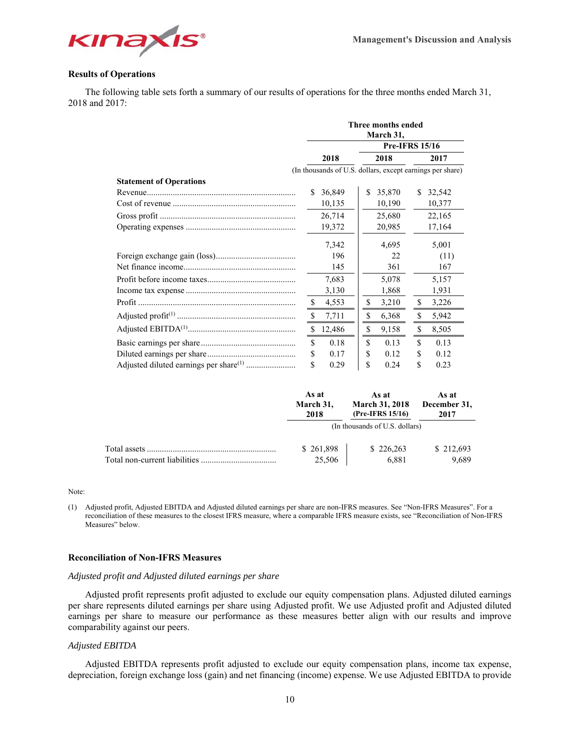

# **Results of Operations**

The following table sets forth a summary of our results of operations for the three months ended March 31, 2018 and 2017:

|                                |               |        |      | Three months ended<br>March 31,                           |     |        |  |  |  |  |
|--------------------------------|---------------|--------|------|-----------------------------------------------------------|-----|--------|--|--|--|--|
|                                |               |        |      | <b>Pre-IFRS 15/16</b>                                     |     |        |  |  |  |  |
|                                |               | 2018   | 2018 |                                                           |     | 2017   |  |  |  |  |
|                                |               |        |      | (In thousands of U.S. dollars, except earnings per share) |     |        |  |  |  |  |
| <b>Statement of Operations</b> |               |        |      |                                                           |     |        |  |  |  |  |
|                                | S.            | 36,849 | \$   | 35,870                                                    | \$. | 32,542 |  |  |  |  |
|                                |               | 10,135 |      | 10,190                                                    |     | 10,377 |  |  |  |  |
|                                |               | 26,714 |      | 25,680                                                    |     | 22,165 |  |  |  |  |
|                                |               | 19,372 |      | 20,985                                                    |     | 17,164 |  |  |  |  |
|                                |               | 7,342  |      | 4,695                                                     |     | 5,001  |  |  |  |  |
|                                |               | 196    |      | 22                                                        |     | (11)   |  |  |  |  |
|                                |               | 145    |      | 361                                                       |     | 167    |  |  |  |  |
|                                |               | 7,683  |      | 5,078                                                     |     | 5,157  |  |  |  |  |
|                                |               | 3,130  |      | 1,868                                                     |     | 1,931  |  |  |  |  |
|                                | -S            | 4,553  | \$   | 3,210                                                     | \$  | 3,226  |  |  |  |  |
|                                | \$            | 7,711  | \$   | 6,368                                                     | \$  | 5,942  |  |  |  |  |
|                                | \$            | 12,486 | \$   | 9,158                                                     | \$  | 8,505  |  |  |  |  |
|                                | <sup>\$</sup> | 0.18   | \$   | 0.13                                                      | \$  | 0.13   |  |  |  |  |
|                                | \$            | 0.17   | \$   | 0.12                                                      | \$  | 0.12   |  |  |  |  |
|                                | \$            | 0.29   | \$   | 0.24                                                      | \$  | 0.23   |  |  |  |  |

|                               | As at     | As at                          | As at        |
|-------------------------------|-----------|--------------------------------|--------------|
|                               | March 31, | <b>March 31, 2018</b>          | December 31, |
|                               | 2018      | (Pre-IFRS 15/16)               | 2017         |
|                               |           | (In thousands of U.S. dollars) |              |
| Total assets                  | \$261,898 | \$226,263                      | \$212,693    |
| Total non-current liabilities | 25,506    | 6,881                          | 9.689        |

Note:

(1) Adjusted profit, Adjusted EBITDA and Adjusted diluted earnings per share are non-IFRS measures. See "Non-IFRS Measures". For a reconciliation of these measures to the closest IFRS measure, where a comparable IFRS measure exists, see "Reconciliation of Non-IFRS Measures" below.

# **Reconciliation of Non-IFRS Measures**

#### *Adjusted profit and Adjusted diluted earnings per share*

Adjusted profit represents profit adjusted to exclude our equity compensation plans. Adjusted diluted earnings per share represents diluted earnings per share using Adjusted profit. We use Adjusted profit and Adjusted diluted earnings per share to measure our performance as these measures better align with our results and improve comparability against our peers.

## *Adjusted EBITDA*

Adjusted EBITDA represents profit adjusted to exclude our equity compensation plans, income tax expense, depreciation, foreign exchange loss (gain) and net financing (income) expense. We use Adjusted EBITDA to provide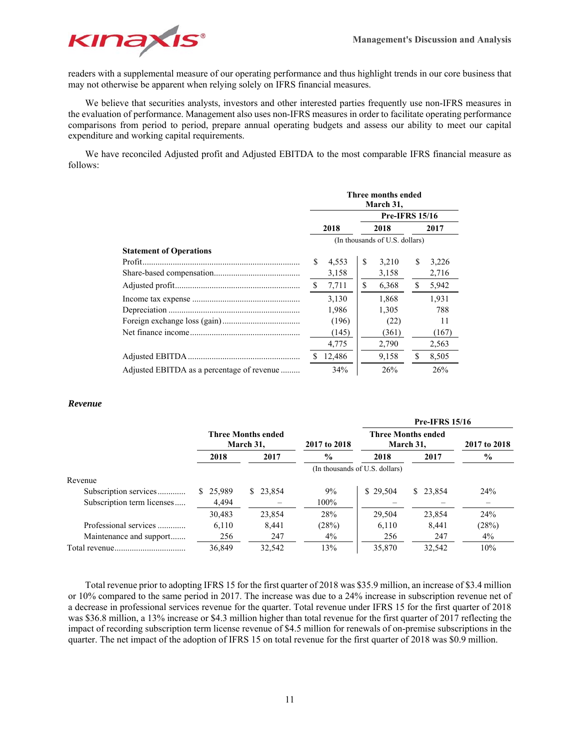**Pre-IFRS 15/16** 



readers with a supplemental measure of our operating performance and thus highlight trends in our core business that may not otherwise be apparent when relying solely on IFRS financial measures.

We believe that securities analysts, investors and other interested parties frequently use non-IFRS measures in the evaluation of performance. Management also uses non-IFRS measures in order to facilitate operating performance comparisons from period to period, prepare annual operating budgets and assess our ability to meet our capital expenditure and working capital requirements.

We have reconciled Adjusted profit and Adjusted EBITDA to the most comparable IFRS financial measure as follows:

|                                            |                                |        |    | Three months ended<br>March 31, |    |       |  |  |  |
|--------------------------------------------|--------------------------------|--------|----|---------------------------------|----|-------|--|--|--|
|                                            | <b>Pre-IFRS 15/16</b>          |        |    |                                 |    |       |  |  |  |
|                                            | 2018<br>2018<br>2017           |        |    |                                 |    |       |  |  |  |
|                                            | (In thousands of U.S. dollars) |        |    |                                 |    |       |  |  |  |
| <b>Statement of Operations</b>             |                                |        |    |                                 |    |       |  |  |  |
|                                            | \$                             | 4,553  | \$ | 3,210                           | \$ | 3,226 |  |  |  |
|                                            |                                | 3,158  |    | 3,158                           |    | 2,716 |  |  |  |
|                                            | \$                             | 7,711  | \$ | 6,368                           | \$ | 5,942 |  |  |  |
|                                            |                                | 3,130  |    | 1,868                           |    | 1.931 |  |  |  |
|                                            |                                | 1,986  |    | 1,305                           |    | 788   |  |  |  |
|                                            |                                | (196)  |    | (22)                            |    | 11    |  |  |  |
|                                            |                                | (145)  |    | (361)                           |    | (167) |  |  |  |
|                                            |                                | 4,775  |    | 2,790                           |    | 2,563 |  |  |  |
|                                            |                                | 12,486 |    | 9,158                           | \$ | 8,505 |  |  |  |
| Adjusted EBITDA as a percentage of revenue |                                | 34%    |    | 26%                             |    | 26%   |  |  |  |

# *Revenue*

|                            |          |                                        |                                |          | <b>PIC-IPINS 15/10</b>                 |              |
|----------------------------|----------|----------------------------------------|--------------------------------|----------|----------------------------------------|--------------|
|                            |          | <b>Three Months ended</b><br>March 31, | 2017 to 2018                   |          | <b>Three Months ended</b><br>March 31, | 2017 to 2018 |
|                            | 2018     | 2017                                   | $\frac{6}{9}$                  | 2018     | 2017                                   | $\%$         |
|                            |          |                                        | (In thousands of U.S. dollars) |          |                                        |              |
| Revenue                    |          |                                        |                                |          |                                        |              |
| Subscription services      | \$25,989 | \$23,854                               | 9%                             | \$29.504 | \$23,854                               | 24%          |
| Subscription term licenses | 4,494    |                                        | 100%                           |          |                                        |              |
|                            | 30,483   | 23,854                                 | 28%                            | 29.504   | 23,854                                 | 24%          |
| Professional services      | 6,110    | 8.441                                  | (28%)                          | 6,110    | 8,441                                  | (28%)        |
| Maintenance and support    | 256      | 247                                    | $4\%$                          | 256      | 247                                    | $4\%$        |
|                            | 36,849   | 32,542                                 | 13%                            | 35,870   | 32,542                                 | 10%          |

Total revenue prior to adopting IFRS 15 for the first quarter of 2018 was \$35.9 million, an increase of \$3.4 million or 10% compared to the same period in 2017. The increase was due to a 24% increase in subscription revenue net of a decrease in professional services revenue for the quarter. Total revenue under IFRS 15 for the first quarter of 2018 was \$36.8 million, a 13% increase or \$4.3 million higher than total revenue for the first quarter of 2017 reflecting the impact of recording subscription term license revenue of \$4.5 million for renewals of on-premise subscriptions in the quarter. The net impact of the adoption of IFRS 15 on total revenue for the first quarter of 2018 was \$0.9 million.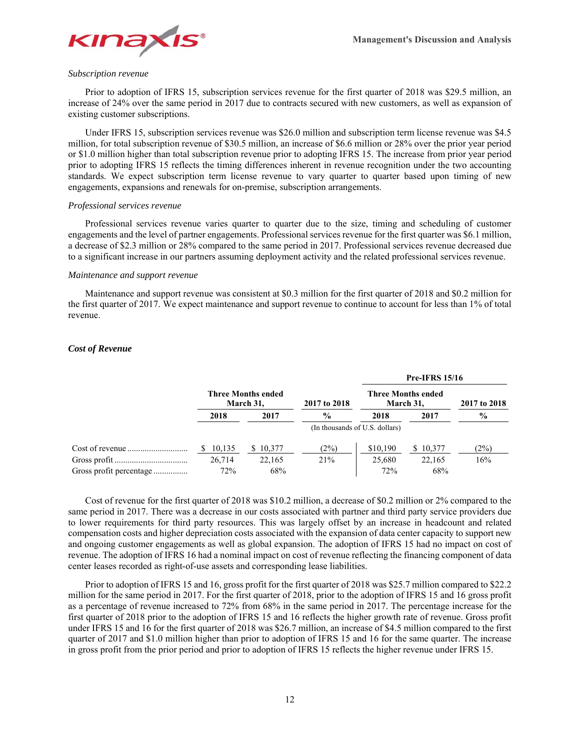

#### *Subscription revenue*

Prior to adoption of IFRS 15, subscription services revenue for the first quarter of 2018 was \$29.5 million, an increase of 24% over the same period in 2017 due to contracts secured with new customers, as well as expansion of existing customer subscriptions.

Under IFRS 15, subscription services revenue was \$26.0 million and subscription term license revenue was \$4.5 million, for total subscription revenue of \$30.5 million, an increase of \$6.6 million or 28% over the prior year period or \$1.0 million higher than total subscription revenue prior to adopting IFRS 15. The increase from prior year period prior to adopting IFRS 15 reflects the timing differences inherent in revenue recognition under the two accounting standards. We expect subscription term license revenue to vary quarter to quarter based upon timing of new engagements, expansions and renewals for on-premise, subscription arrangements.

#### *Professional services revenue*

Professional services revenue varies quarter to quarter due to the size, timing and scheduling of customer engagements and the level of partner engagements. Professional services revenue for the first quarter was \$6.1 million, a decrease of \$2.3 million or 28% compared to the same period in 2017. Professional services revenue decreased due to a significant increase in our partners assuming deployment activity and the related professional services revenue.

## *Maintenance and support revenue*

Maintenance and support revenue was consistent at \$0.3 million for the first quarter of 2018 and \$0.2 million for the first quarter of 2017. We expect maintenance and support revenue to continue to account for less than 1% of total revenue.

# *Cost of Revenue*

|        |                                        |                                |                                        | <b>Pre-IFRS 15/16</b> |               |
|--------|----------------------------------------|--------------------------------|----------------------------------------|-----------------------|---------------|
|        | <b>Three Months ended</b><br>March 31, | 2017 to 2018                   | <b>Three Months ended</b><br>March 31, | 2017 to 2018          |               |
| 2018   | 2017                                   | $\frac{6}{9}$                  | 2018                                   | 2017                  | $\frac{0}{0}$ |
|        |                                        | (In thousands of U.S. dollars) |                                        |                       |               |
| 10,135 | 10.377<br>S.                           | (2%)                           | \$10,190                               | \$10,377              | (2%)          |
| 26,714 | 22,165                                 | 21%                            | 25,680                                 | 22,165                | 16%           |
| 72%    | 68%                                    |                                | 72%                                    | 68%                   |               |

Cost of revenue for the first quarter of 2018 was \$10.2 million, a decrease of \$0.2 million or 2% compared to the same period in 2017. There was a decrease in our costs associated with partner and third party service providers due to lower requirements for third party resources. This was largely offset by an increase in headcount and related compensation costs and higher depreciation costs associated with the expansion of data center capacity to support new and ongoing customer engagements as well as global expansion. The adoption of IFRS 15 had no impact on cost of revenue. The adoption of IFRS 16 had a nominal impact on cost of revenue reflecting the financing component of data center leases recorded as right-of-use assets and corresponding lease liabilities.

Prior to adoption of IFRS 15 and 16, gross profit for the first quarter of 2018 was \$25.7 million compared to \$22.2 million for the same period in 2017. For the first quarter of 2018, prior to the adoption of IFRS 15 and 16 gross profit as a percentage of revenue increased to 72% from 68% in the same period in 2017. The percentage increase for the first quarter of 2018 prior to the adoption of IFRS 15 and 16 reflects the higher growth rate of revenue. Gross profit under IFRS 15 and 16 for the first quarter of 2018 was \$26.7 million, an increase of \$4.5 million compared to the first quarter of 2017 and \$1.0 million higher than prior to adoption of IFRS 15 and 16 for the same quarter. The increase in gross profit from the prior period and prior to adoption of IFRS 15 reflects the higher revenue under IFRS 15.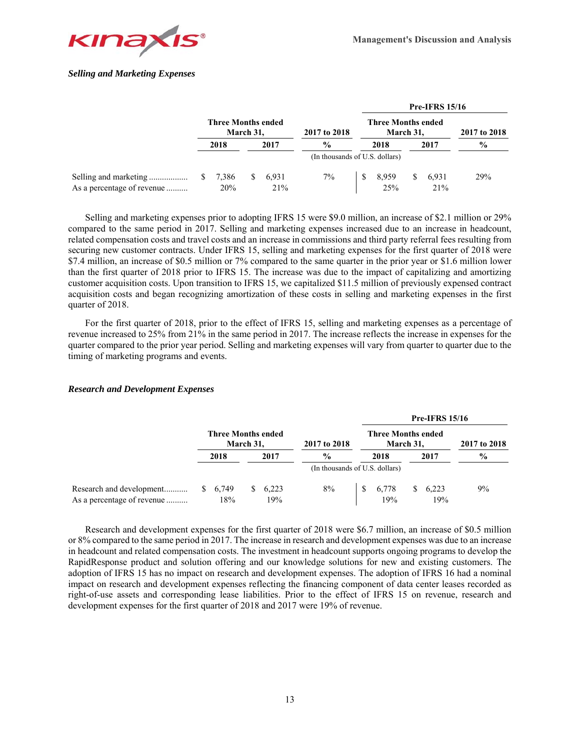

# *Selling and Marketing Expenses*

|                            |                           |           |              |                                |                                        |              |      | <b>Pre-IFRS 15/16</b> |               |  |
|----------------------------|---------------------------|-----------|--------------|--------------------------------|----------------------------------------|--------------|------|-----------------------|---------------|--|
|                            | <b>Three Months ended</b> | March 31, |              | 2017 to 2018                   | <b>Three Months ended</b><br>March 31, |              |      |                       | 2017 to 2018  |  |
|                            | 2018                      | 2017      |              | $\frac{0}{0}$                  |                                        | 2018         | 2017 |                       | $\frac{6}{9}$ |  |
|                            |                           |           |              | (In thousands of U.S. dollars) |                                        |              |      |                       |               |  |
| As a percentage of revenue | 7,386<br>20%              | S.        | 6,931<br>21% | 7%                             |                                        | 8,959<br>25% | \$.  | 6,931<br>21%          | 29%           |  |

Selling and marketing expenses prior to adopting IFRS 15 were \$9.0 million, an increase of \$2.1 million or 29% compared to the same period in 2017. Selling and marketing expenses increased due to an increase in headcount, related compensation costs and travel costs and an increase in commissions and third party referral fees resulting from securing new customer contracts. Under IFRS 15, selling and marketing expenses for the first quarter of 2018 were \$7.4 million, an increase of \$0.5 million or 7% compared to the same quarter in the prior year or \$1.6 million lower than the first quarter of 2018 prior to IFRS 15. The increase was due to the impact of capitalizing and amortizing customer acquisition costs. Upon transition to IFRS 15, we capitalized \$11.5 million of previously expensed contract acquisition costs and began recognizing amortization of these costs in selling and marketing expenses in the first quarter of 2018.

For the first quarter of 2018, prior to the effect of IFRS 15, selling and marketing expenses as a percentage of revenue increased to 25% from 21% in the same period in 2017. The increase reflects the increase in expenses for the quarter compared to the prior year period. Selling and marketing expenses will vary from quarter to quarter due to the timing of marketing programs and events.

# *Research and Development Expenses*

|                                                        |                |                                        |                                |                                        | <b>Pre-IFRS 15/16</b> |               |
|--------------------------------------------------------|----------------|----------------------------------------|--------------------------------|----------------------------------------|-----------------------|---------------|
|                                                        |                | <b>Three Months ended</b><br>March 31, | 2017 to 2018                   | <b>Three Months ended</b><br>March 31. | 2017 to 2018          |               |
|                                                        | 2018           | 2017                                   | $\frac{0}{0}$                  | 2018                                   | 2017                  | $\frac{6}{9}$ |
|                                                        |                |                                        | (In thousands of U.S. dollars) |                                        |                       |               |
| Research and development<br>As a percentage of revenue | \$6,749<br>18% | 6,223<br>S.<br>19%                     | 8%                             | 6,778<br>19%                           | 6,223<br>S.<br>19%    | 9%            |

Research and development expenses for the first quarter of 2018 were \$6.7 million, an increase of \$0.5 million or 8% compared to the same period in 2017. The increase in research and development expenses was due to an increase in headcount and related compensation costs. The investment in headcount supports ongoing programs to develop the RapidResponse product and solution offering and our knowledge solutions for new and existing customers. The adoption of IFRS 15 has no impact on research and development expenses. The adoption of IFRS 16 had a nominal impact on research and development expenses reflecting the financing component of data center leases recorded as right-of-use assets and corresponding lease liabilities. Prior to the effect of IFRS 15 on revenue, research and development expenses for the first quarter of 2018 and 2017 were 19% of revenue.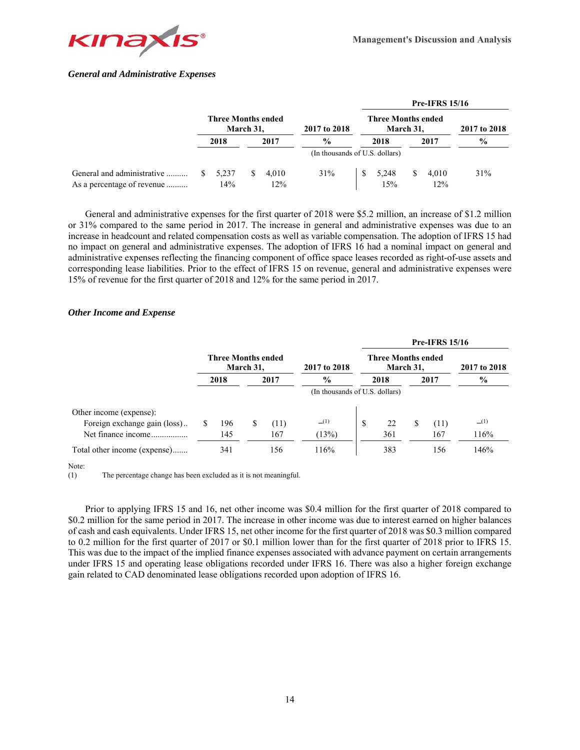

# *General and Administrative Expenses*

|                            |                                        |    |       |               |                                        |   | <b>Pre-IFRS 15/16</b> |               |  |
|----------------------------|----------------------------------------|----|-------|---------------|----------------------------------------|---|-----------------------|---------------|--|
|                            | <b>Three Months ended</b><br>March 31, |    |       | 2017 to 2018  | <b>Three Months ended</b><br>March 31, |   |                       | 2017 to 2018  |  |
|                            | 2018                                   |    | 2017  | $\frac{6}{9}$ | 2017<br>2018                           |   |                       | $\frac{6}{9}$ |  |
|                            |                                        |    |       |               | (In thousands of U.S. dollars)         |   |                       |               |  |
| General and administrative | 5.237                                  | S. | 4.010 | 31%           | 5.248                                  | S | 4.010                 | 31%           |  |
| As a percentage of revenue | 14%                                    |    | 12%   |               | 15%                                    |   | 12%                   |               |  |

General and administrative expenses for the first quarter of 2018 were \$5.2 million, an increase of \$1.2 million or 31% compared to the same period in 2017. The increase in general and administrative expenses was due to an increase in headcount and related compensation costs as well as variable compensation. The adoption of IFRS 15 had no impact on general and administrative expenses. The adoption of IFRS 16 had a nominal impact on general and administrative expenses reflecting the financing component of office space leases recorded as right-of-use assets and corresponding lease liabilities. Prior to the effect of IFRS 15 on revenue, general and administrative expenses were 15% of revenue for the first quarter of 2018 and 12% for the same period in 2017.

# *Other Income and Expense*

|                              |                           |           |      |               |      |                                        |              | <b>Pre-IFRS 15/16</b> |      |
|------------------------------|---------------------------|-----------|------|---------------|------|----------------------------------------|--------------|-----------------------|------|
|                              | <b>Three Months ended</b> | March 31, |      | 2017 to 2018  |      | <b>Three Months ended</b><br>March 31, | 2017 to 2018 |                       |      |
|                              | 2018                      |           | 2017 | $\frac{6}{9}$ | 2018 |                                        | 2017         |                       | $\%$ |
|                              |                           |           |      |               |      |                                        |              |                       |      |
| Other income (expense):      |                           |           |      |               |      |                                        |              |                       |      |
| Foreign exchange gain (loss) | 196                       | S         | (11) | (1)           | \$   | 22                                     | \$.          | (11)                  | (1)  |
| Net finance income           | 145                       |           | 167  | (13%)         |      | 361                                    |              | 167                   | 116% |
| Total other income (expense) | 341                       |           | 156  | 116%          |      | 383                                    |              | 156                   | 146% |

#### Note:

(1) The percentage change has been excluded as it is not meaningful.

Prior to applying IFRS 15 and 16, net other income was \$0.4 million for the first quarter of 2018 compared to \$0.2 million for the same period in 2017. The increase in other income was due to interest earned on higher balances of cash and cash equivalents. Under IFRS 15, net other income for the first quarter of 2018 was \$0.3 million compared to 0.2 million for the first quarter of 2017 or \$0.1 million lower than for the first quarter of 2018 prior to IFRS 15. This was due to the impact of the implied finance expenses associated with advance payment on certain arrangements under IFRS 15 and operating lease obligations recorded under IFRS 16. There was also a higher foreign exchange gain related to CAD denominated lease obligations recorded upon adoption of IFRS 16.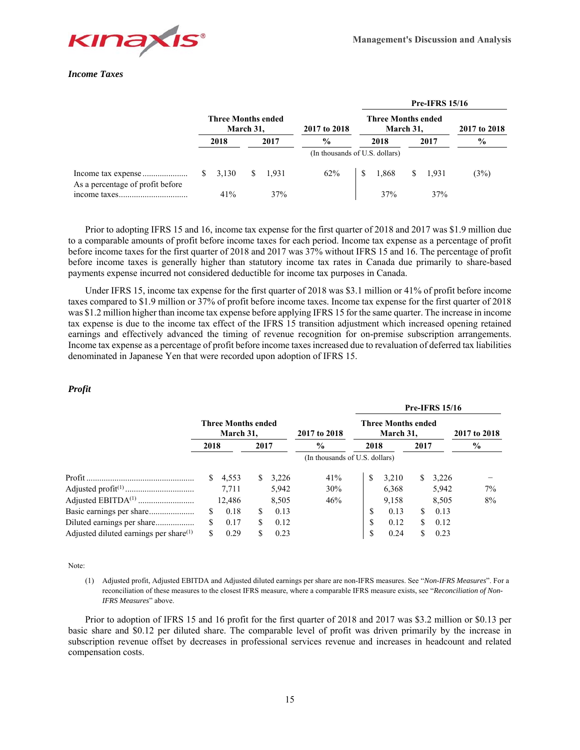

# *Income Taxes*

|                                  |                                        |       |                                |       |               |                                        |    | <b>Pre-IFRS 15/16</b> |               |
|----------------------------------|----------------------------------------|-------|--------------------------------|-------|---------------|----------------------------------------|----|-----------------------|---------------|
|                                  | <b>Three Months ended</b><br>March 31, |       |                                |       | 2017 to 2018  | <b>Three Months ended</b><br>March 31, |    | 2017 to 2018          |               |
|                                  |                                        | 2018  |                                | 2017  | $\frac{6}{6}$ | 2018<br>2017                           |    |                       | $\frac{0}{0}$ |
|                                  |                                        |       | (In thousands of U.S. dollars) |       |               |                                        |    |                       |               |
| As a percentage of profit before | S.                                     | 3.130 |                                | 1.931 | 62%           | 1.868                                  | S. | 1.931                 | (3%)          |
|                                  |                                        | 41%   |                                | 37%   |               | 37%                                    |    | 37%                   |               |

Prior to adopting IFRS 15 and 16, income tax expense for the first quarter of 2018 and 2017 was \$1.9 million due to a comparable amounts of profit before income taxes for each period. Income tax expense as a percentage of profit before income taxes for the first quarter of 2018 and 2017 was 37% without IFRS 15 and 16. The percentage of profit before income taxes is generally higher than statutory income tax rates in Canada due primarily to share-based payments expense incurred not considered deductible for income tax purposes in Canada.

Under IFRS 15, income tax expense for the first quarter of 2018 was \$3.1 million or 41% of profit before income taxes compared to \$1.9 million or 37% of profit before income taxes. Income tax expense for the first quarter of 2018 was \$1.2 million higher than income tax expense before applying IFRS 15 for the same quarter. The increase in income tax expense is due to the income tax effect of the IFRS 15 transition adjustment which increased opening retained earnings and effectively advanced the timing of revenue recognition for on-premise subscription arrangements. Income tax expense as a percentage of profit before income taxes increased due to revaluation of deferred tax liabilities denominated in Japanese Yen that were recorded upon adoption of IFRS 15.

# *Profit*

|                                           |                                        |        |      |              |                                |                                        |              |              | <b>Pre-IFRS 15/16</b> |               |
|-------------------------------------------|----------------------------------------|--------|------|--------------|--------------------------------|----------------------------------------|--------------|--------------|-----------------------|---------------|
|                                           | <b>Three Months ended</b><br>March 31, |        |      | 2017 to 2018 |                                | <b>Three Months ended</b><br>March 31, | 2017 to 2018 |              |                       |               |
|                                           | 2018                                   |        | 2017 |              | $\%$                           | 2018                                   |              | 2017         |                       | $\frac{6}{9}$ |
|                                           |                                        |        |      |              | (In thousands of U.S. dollars) |                                        |              |              |                       |               |
|                                           | S.                                     | 4,553  | S.   | 3,226        | 41%                            | S                                      | 3,210        | <sup>S</sup> | 3,226                 |               |
|                                           |                                        | 7.711  |      | 5,942        | 30%                            |                                        | 6,368        |              | 5,942                 | 7%            |
|                                           |                                        | 12.486 |      | 8,505        | 46%                            |                                        | 9,158        |              | 8,505                 | 8%            |
| Basic earnings per share                  | S                                      | 0.18   | S    | 0.13         |                                | \$                                     | 0.13         | S.           | 0.13                  |               |
| Diluted earnings per share                | S                                      | 0.17   | \$.  | 0.12         |                                | \$                                     | 0.12         | S.           | 0.12                  |               |
| Adjusted diluted earnings per share $(1)$ | \$.                                    | 0.29   | S    | 0.23         |                                | \$                                     | 0.24         | S            | 0.23                  |               |

Note:

(1) Adjusted profit, Adjusted EBITDA and Adjusted diluted earnings per share are non-IFRS measures. See "*Non-IFRS Measures*". For a reconciliation of these measures to the closest IFRS measure, where a comparable IFRS measure exists, see "*Reconciliation of Non-IFRS Measures*" above.

Prior to adoption of IFRS 15 and 16 profit for the first quarter of 2018 and 2017 was \$3.2 million or \$0.13 per basic share and \$0.12 per diluted share. The comparable level of profit was driven primarily by the increase in subscription revenue offset by decreases in professional services revenue and increases in headcount and related compensation costs.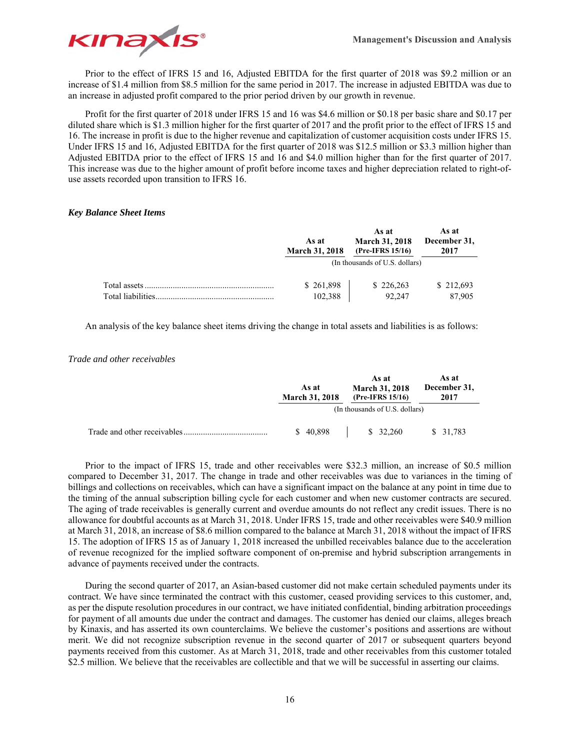

Prior to the effect of IFRS 15 and 16, Adjusted EBITDA for the first quarter of 2018 was \$9.2 million or an increase of \$1.4 million from \$8.5 million for the same period in 2017. The increase in adjusted EBITDA was due to an increase in adjusted profit compared to the prior period driven by our growth in revenue.

Profit for the first quarter of 2018 under IFRS 15 and 16 was \$4.6 million or \$0.18 per basic share and \$0.17 per diluted share which is \$1.3 million higher for the first quarter of 2017 and the profit prior to the effect of IFRS 15 and 16. The increase in profit is due to the higher revenue and capitalization of customer acquisition costs under IFRS 15. Under IFRS 15 and 16, Adjusted EBITDA for the first quarter of 2018 was \$12.5 million or \$3.3 million higher than Adjusted EBITDA prior to the effect of IFRS 15 and 16 and \$4.0 million higher than for the first quarter of 2017. This increase was due to the higher amount of profit before income taxes and higher depreciation related to right-ofuse assets recorded upon transition to IFRS 16.

# *Key Balance Sheet Items*

|                    | As at<br><b>March 31, 2018</b> | As at<br><b>March 31, 2018</b><br>(Pre-IFRS 15/16) | As at<br>December 31,<br>2017 |
|--------------------|--------------------------------|----------------------------------------------------|-------------------------------|
|                    |                                | (In thousands of U.S. dollars)                     |                               |
| Total liabilities. | \$261,898<br>102,388           | \$226,263<br>92.247                                | \$212,693<br>87,905           |

An analysis of the key balance sheet items driving the change in total assets and liabilities is as follows:

# *Trade and other receivables*

| As at<br><b>March 31, 2018</b> | As at<br><b>March 31, 2018</b><br>(Pre-IFRS 15/16) | As at<br>December 31,<br>2017 |
|--------------------------------|----------------------------------------------------|-------------------------------|
|                                | (In thousands of U.S. dollars)                     |                               |
| \$40,898                       | \$32,260                                           | \$31,783                      |

Prior to the impact of IFRS 15, trade and other receivables were \$32.3 million, an increase of \$0.5 million compared to December 31, 2017. The change in trade and other receivables was due to variances in the timing of billings and collections on receivables, which can have a significant impact on the balance at any point in time due to the timing of the annual subscription billing cycle for each customer and when new customer contracts are secured. The aging of trade receivables is generally current and overdue amounts do not reflect any credit issues. There is no allowance for doubtful accounts as at March 31, 2018. Under IFRS 15, trade and other receivables were \$40.9 million at March 31, 2018, an increase of \$8.6 million compared to the balance at March 31, 2018 without the impact of IFRS 15. The adoption of IFRS 15 as of January 1, 2018 increased the unbilled receivables balance due to the acceleration of revenue recognized for the implied software component of on-premise and hybrid subscription arrangements in advance of payments received under the contracts.

During the second quarter of 2017, an Asian-based customer did not make certain scheduled payments under its contract. We have since terminated the contract with this customer, ceased providing services to this customer, and, as per the dispute resolution procedures in our contract, we have initiated confidential, binding arbitration proceedings for payment of all amounts due under the contract and damages. The customer has denied our claims, alleges breach by Kinaxis, and has asserted its own counterclaims. We believe the customer's positions and assertions are without merit. We did not recognize subscription revenue in the second quarter of 2017 or subsequent quarters beyond payments received from this customer. As at March 31, 2018, trade and other receivables from this customer totaled \$2.5 million. We believe that the receivables are collectible and that we will be successful in asserting our claims.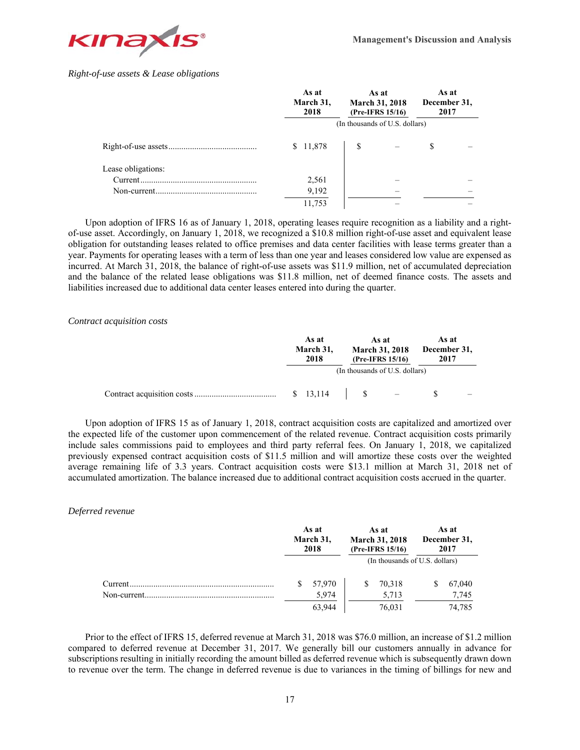

# *Right-of-use assets & Lease obligations*

|                    | As at<br>March 31,<br>2018     | As at<br><b>March 31, 2018</b><br>(Pre-IFRS 15/16) |  | As at<br>December 31,<br>2017 |  |  |
|--------------------|--------------------------------|----------------------------------------------------|--|-------------------------------|--|--|
|                    | (In thousands of U.S. dollars) |                                                    |  |                               |  |  |
|                    | \$11,878                       |                                                    |  |                               |  |  |
| Lease obligations: |                                |                                                    |  |                               |  |  |
|                    | 2,561                          |                                                    |  |                               |  |  |
|                    | 9,192                          |                                                    |  |                               |  |  |
|                    | 11,753                         |                                                    |  |                               |  |  |

Upon adoption of IFRS 16 as of January 1, 2018, operating leases require recognition as a liability and a rightof-use asset. Accordingly, on January 1, 2018, we recognized a \$10.8 million right-of-use asset and equivalent lease obligation for outstanding leases related to office premises and data center facilities with lease terms greater than a year. Payments for operating leases with a term of less than one year and leases considered low value are expensed as incurred. At March 31, 2018, the balance of right-of-use assets was \$11.9 million, net of accumulated depreciation and the balance of the related lease obligations was \$11.8 million, net of deemed finance costs. The assets and liabilities increased due to additional data center leases entered into during the quarter.

## *Contract acquisition costs*

|  | As at<br>March 31,<br>2018 | As at<br><b>March 31, 2018</b><br>(Pre-IFRS 15/16) |              | As at<br>December 31,<br>2017  |  |  |
|--|----------------------------|----------------------------------------------------|--------------|--------------------------------|--|--|
|  |                            |                                                    |              | (In thousands of U.S. dollars) |  |  |
|  | \$13,114                   |                                                    | $\mathbf{s}$ |                                |  |  |

Upon adoption of IFRS 15 as of January 1, 2018, contract acquisition costs are capitalized and amortized over the expected life of the customer upon commencement of the related revenue. Contract acquisition costs primarily include sales commissions paid to employees and third party referral fees. On January 1, 2018, we capitalized previously expensed contract acquisition costs of \$11.5 million and will amortize these costs over the weighted average remaining life of 3.3 years. Contract acquisition costs were \$13.1 million at March 31, 2018 net of accumulated amortization. The balance increased due to additional contract acquisition costs accrued in the quarter.

# *Deferred revenue*

|         | As at<br>March 31,<br>2018 | As at<br><b>March 31, 2018</b><br>(Pre-IFRS 15/16) | As at<br>December 31,<br>2017  |
|---------|----------------------------|----------------------------------------------------|--------------------------------|
|         |                            |                                                    | (In thousands of U.S. dollars) |
| Current | 57,970                     | 70,318<br>S                                        | 67,040                         |
|         | 5,974                      | 5,713                                              | 7,745                          |
|         | 63,944                     | 76,031                                             | 74,785                         |

Prior to the effect of IFRS 15, deferred revenue at March 31, 2018 was \$76.0 million, an increase of \$1.2 million compared to deferred revenue at December 31, 2017. We generally bill our customers annually in advance for subscriptions resulting in initially recording the amount billed as deferred revenue which is subsequently drawn down to revenue over the term. The change in deferred revenue is due to variances in the timing of billings for new and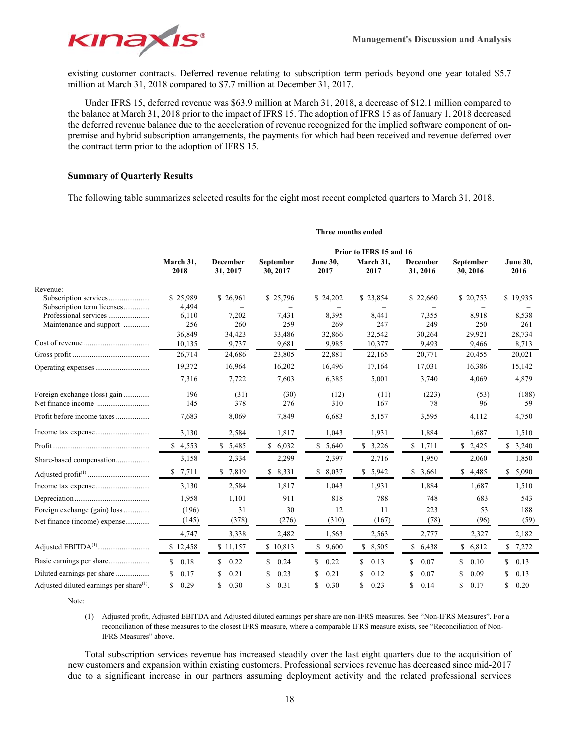

existing customer contracts. Deferred revenue relating to subscription term periods beyond one year totaled \$5.7 million at March 31, 2018 compared to \$7.7 million at December 31, 2017.

Under IFRS 15, deferred revenue was \$63.9 million at March 31, 2018, a decrease of \$12.1 million compared to the balance at March 31, 2018 prior to the impact of IFRS 15. The adoption of IFRS 15 as of January 1, 2018 decreased the deferred revenue balance due to the acceleration of revenue recognized for the implied software component of onpremise and hybrid subscription arrangements, the payments for which had been received and revenue deferred over the contract term prior to the adoption of IFRS 15.

# **Summary of Quarterly Results**

The following table summarizes selected results for the eight most recent completed quarters to March 31, 2018.

|                                                      | Prior to IFRS 15 and 16 |                             |                       |                         |                   |                             |                       |                         |
|------------------------------------------------------|-------------------------|-----------------------------|-----------------------|-------------------------|-------------------|-----------------------------|-----------------------|-------------------------|
|                                                      | March 31,<br>2018       | <b>December</b><br>31, 2017 | September<br>30, 2017 | <b>June 30,</b><br>2017 | March 31,<br>2017 | <b>December</b><br>31, 2016 | September<br>30, 2016 | <b>June 30,</b><br>2016 |
| Revenue:                                             |                         |                             |                       |                         |                   |                             |                       |                         |
| Subscription services                                | \$25,989                | \$26,961                    | \$25,796              | \$24,202                | \$23,854          | \$22,660                    | \$20,753              | \$19,935                |
| Subscription term licenses                           | 4,494                   |                             |                       |                         |                   |                             |                       |                         |
| Professional services<br>Maintenance and support     | 6,110<br>256            | 7,202<br>260                | 7,431<br>259          | 8,395<br>269            | 8,441<br>247      | 7,355<br>249                | 8,918<br>250          | 8,538<br>261            |
|                                                      | 36,849                  | 34,423                      | 33,486                | 32,866                  | 32.542            | 30.264                      | 29,921                | 28,734                  |
|                                                      | 10,135                  | 9,737                       | 9,681                 | 9,985                   | 10,377            | 9,493                       | 9,466                 | 8,713                   |
|                                                      | 26,714                  | 24,686                      | 23,805                | 22,881                  | 22,165            | 20,771                      | 20,455                | 20,021                  |
|                                                      | 19,372                  | 16,964                      | 16,202                | 16,496                  | 17,164            | 17,031                      | 16,386                | 15,142                  |
|                                                      | 7,316                   | 7,722                       | 7,603                 | 6,385                   | 5,001             | 3,740                       | 4,069                 | 4,879                   |
| Foreign exchange (loss) gain                         | 196                     | (31)                        | (30)                  | (12)                    | (11)              | (223)                       | (53)                  | (188)                   |
|                                                      | 145                     | 378                         | 276                   | 310                     | 167               | 78                          | 96                    | 59                      |
| Profit before income taxes                           | 7,683                   | 8,069                       | 7,849                 | 6,683                   | 5,157             | 3,595                       | 4,112                 | 4,750                   |
|                                                      | 3,130                   | 2,584                       | 1,817                 | 1,043                   | 1,931             | 1,884                       | 1,687                 | 1,510                   |
|                                                      | \$4,553                 | \$5,485                     | \$6,032               | \$5,640                 | \$3,226           | \$1,711                     | \$2,425               | \$3,240                 |
| Share-based compensation                             | 3,158                   | 2,334                       | 2,299                 | 2,397                   | 2,716             | 1,950                       | 2,060                 | 1,850                   |
|                                                      | \$7,711                 | \$<br>7,819                 | \$8,331               | \$8,037                 | \$5,942           | \$3,661                     | \$<br>4,485           | \$5,090                 |
|                                                      | 3,130                   | 2,584                       | 1,817                 | 1,043                   | 1,931             | 1,884                       | 1,687                 | 1,510                   |
|                                                      | 1,958                   | 1,101                       | 911                   | 818                     | 788               | 748                         | 683                   | 543                     |
| Foreign exchange (gain) loss                         | (196)                   | 31                          | 30                    | 12                      | 11                | 223                         | 53                    | 188                     |
| Net finance (income) expense                         | (145)                   | (378)                       | (276)                 | (310)                   | (167)             | (78)                        | (96)                  | (59)                    |
|                                                      | 4,747                   | 3,338                       | 2,482                 | 1,563                   | 2,563             | 2,777                       | 2,327                 | 2,182                   |
|                                                      | \$12,458                | \$11,157                    | \$10,813              | \$9,600                 | \$8,505           | \$6,438                     | \$<br>6,812           | \$7,272                 |
|                                                      | \$<br>0.18              | S<br>0.22                   | \$<br>0.24            | \$<br>0.22              | S<br>0.13         | \$<br>0.07                  | \$<br>0.10            | S.<br>0.13              |
|                                                      | 0.17<br>\$              | 0.21<br>S                   | 0.23<br>S             | 0.21                    | 0.12<br>S.        | 0.07                        | 0.09<br>S             | 0.13                    |
| Adjusted diluted earnings per share <sup>(1)</sup> . | \$<br>0.29              | \$<br>0.30                  | \$<br>0.31            | \$<br>0.30              | \$<br>0.23        | \$<br>0.14                  | \$<br>0.17            | 0.20                    |

#### **Three months ended**

Note:

(1) Adjusted profit, Adjusted EBITDA and Adjusted diluted earnings per share are non-IFRS measures. See "Non-IFRS Measures". For a reconciliation of these measures to the closest IFRS measure, where a comparable IFRS measure exists, see "Reconciliation of Non-IFRS Measures" above.

Total subscription services revenue has increased steadily over the last eight quarters due to the acquisition of new customers and expansion within existing customers. Professional services revenue has decreased since mid-2017 due to a significant increase in our partners assuming deployment activity and the related professional services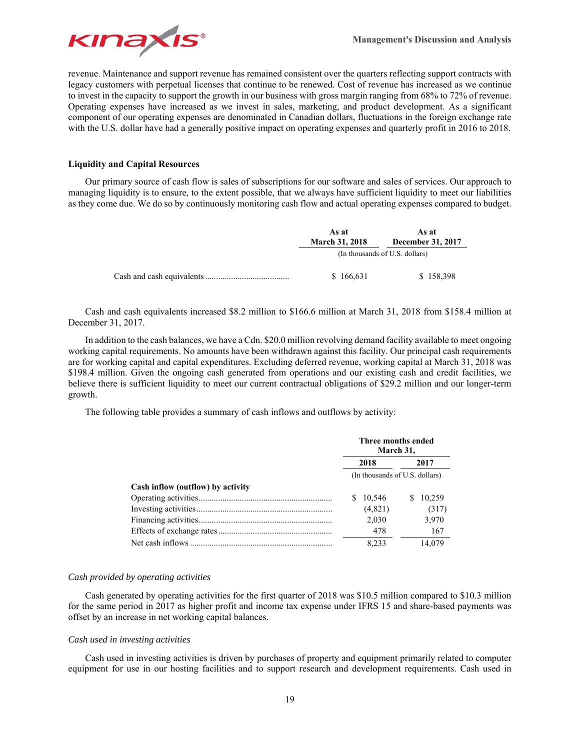

revenue. Maintenance and support revenue has remained consistent over the quarters reflecting support contracts with legacy customers with perpetual licenses that continue to be renewed. Cost of revenue has increased as we continue to invest in the capacity to support the growth in our business with gross margin ranging from 68% to 72% of revenue. Operating expenses have increased as we invest in sales, marketing, and product development. As a significant component of our operating expenses are denominated in Canadian dollars, fluctuations in the foreign exchange rate with the U.S. dollar have had a generally positive impact on operating expenses and quarterly profit in 2016 to 2018.

## **Liquidity and Capital Resources**

Our primary source of cash flow is sales of subscriptions for our software and sales of services. Our approach to managing liquidity is to ensure, to the extent possible, that we always have sufficient liquidity to meet our liabilities as they come due. We do so by continuously monitoring cash flow and actual operating expenses compared to budget.

| As at                 | As at                          |
|-----------------------|--------------------------------|
| <b>March 31, 2018</b> | <b>December 31, 2017</b>       |
|                       | (In thousands of U.S. dollars) |
| \$166,631             | \$158,398                      |

Cash and cash equivalents increased \$8.2 million to \$166.6 million at March 31, 2018 from \$158.4 million at December 31, 2017.

In addition to the cash balances, we have a Cdn. \$20.0 million revolving demand facility available to meet ongoing working capital requirements. No amounts have been withdrawn against this facility. Our principal cash requirements are for working capital and capital expenditures. Excluding deferred revenue, working capital at March 31, 2018 was \$198.4 million. Given the ongoing cash generated from operations and our existing cash and credit facilities, we believe there is sufficient liquidity to meet our current contractual obligations of \$29.2 million and our longer-term growth.

The following table provides a summary of cash inflows and outflows by activity:

|                                   |                                | Three months ended<br>March 31, |   |        |  |
|-----------------------------------|--------------------------------|---------------------------------|---|--------|--|
|                                   | 2018                           |                                 |   | 2017   |  |
|                                   | (In thousands of U.S. dollars) |                                 |   |        |  |
| Cash inflow (outflow) by activity |                                |                                 |   |        |  |
|                                   | 10,546                         |                                 | S | 10.259 |  |
|                                   | (4,821)                        |                                 |   | (317)  |  |
|                                   | 2.030                          |                                 |   | 3,970  |  |
|                                   |                                | 478                             |   | 167    |  |
|                                   | 8.233                          |                                 |   | 14.079 |  |

#### *Cash provided by operating activities*

Cash generated by operating activities for the first quarter of 2018 was \$10.5 million compared to \$10.3 million for the same period in 2017 as higher profit and income tax expense under IFRS 15 and share-based payments was offset by an increase in net working capital balances.

#### *Cash used in investing activities*

Cash used in investing activities is driven by purchases of property and equipment primarily related to computer equipment for use in our hosting facilities and to support research and development requirements. Cash used in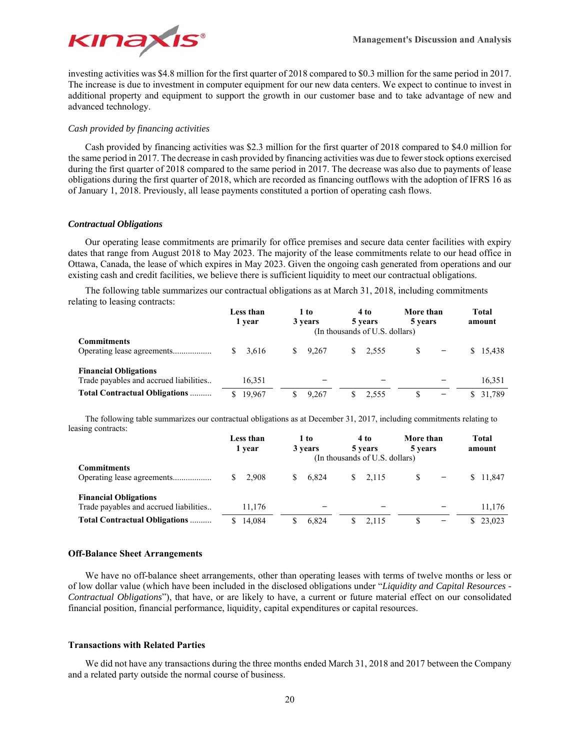

investing activities was \$4.8 million for the first quarter of 2018 compared to \$0.3 million for the same period in 2017. The increase is due to investment in computer equipment for our new data centers. We expect to continue to invest in additional property and equipment to support the growth in our customer base and to take advantage of new and advanced technology.

# *Cash provided by financing activities*

Cash provided by financing activities was \$2.3 million for the first quarter of 2018 compared to \$4.0 million for the same period in 2017. The decrease in cash provided by financing activities was due to fewer stock options exercised during the first quarter of 2018 compared to the same period in 2017. The decrease was also due to payments of lease obligations during the first quarter of 2018, which are recorded as financing outflows with the adoption of IFRS 16 as of January 1, 2018. Previously, all lease payments constituted a portion of operating cash flows.

# *Contractual Obligations*

Our operating lease commitments are primarily for office premises and secure data center facilities with expiry dates that range from August 2018 to May 2023. The majority of the lease commitments relate to our head office in Ottawa, Canada, the lease of which expires in May 2023. Given the ongoing cash generated from operations and our existing cash and credit facilities, we believe there is sufficient liquidity to meet our contractual obligations.

The following table summarizes our contractual obligations as at March 31, 2018, including commitments relating to leasing contracts:

|                                                                        | Less than<br>1 vear | 1 to<br>3 years | 4 to<br>5 years<br>(In thousands of U.S. dollars) | More than<br>5 years | <b>Total</b><br>amount |
|------------------------------------------------------------------------|---------------------|-----------------|---------------------------------------------------|----------------------|------------------------|
| <b>Commitments</b>                                                     | 3.616<br>S.         | 9.267<br>S.     | 2.555<br>S.                                       | -                    | \$15.438               |
| <b>Financial Obligations</b><br>Trade payables and accrued liabilities | 16,351              |                 |                                                   |                      | 16,351                 |
| <b>Total Contractual Obligations </b>                                  | 19.967<br>S.        | 9.267           | 2.555<br>S.                                       | \$.<br>-             | \$ 31.789              |

The following table summarizes our contractual obligations as at December 31, 2017, including commitments relating to leasing contracts:

|                                                                        | Less than<br>1 vear | 1 to<br>3 years | 4 to<br>5 years<br>(In thousands of U.S. dollars) | More than<br>5 years | Total<br>amount |
|------------------------------------------------------------------------|---------------------|-----------------|---------------------------------------------------|----------------------|-----------------|
| <b>Commitments</b>                                                     | $\frac{1}{2}$ 2.908 | 6.824<br>S.     | 2.115<br>S.                                       |                      | \$ 11,847       |
| <b>Financial Obligations</b><br>Trade payables and accrued liabilities | 11,176              |                 |                                                   |                      | 11.176          |
| <b>Total Contractual Obligations </b>                                  | 14,084              | 6.824           | 2.115                                             | \$.<br>-             | \$23.023        |

# **Off-Balance Sheet Arrangements**

We have no off-balance sheet arrangements, other than operating leases with terms of twelve months or less or of low dollar value (which have been included in the disclosed obligations under "*Liquidity and Capital Resources - Contractual Obligations*"), that have, or are likely to have, a current or future material effect on our consolidated financial position, financial performance, liquidity, capital expenditures or capital resources.

# **Transactions with Related Parties**

We did not have any transactions during the three months ended March 31, 2018 and 2017 between the Company and a related party outside the normal course of business.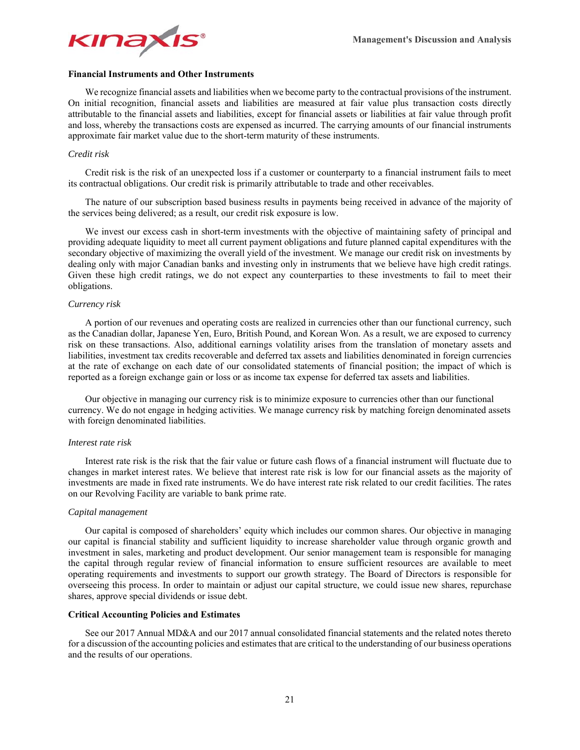

#### **Financial Instruments and Other Instruments**

We recognize financial assets and liabilities when we become party to the contractual provisions of the instrument. On initial recognition, financial assets and liabilities are measured at fair value plus transaction costs directly attributable to the financial assets and liabilities, except for financial assets or liabilities at fair value through profit and loss, whereby the transactions costs are expensed as incurred. The carrying amounts of our financial instruments approximate fair market value due to the short-term maturity of these instruments.

#### *Credit risk*

Credit risk is the risk of an unexpected loss if a customer or counterparty to a financial instrument fails to meet its contractual obligations. Our credit risk is primarily attributable to trade and other receivables.

The nature of our subscription based business results in payments being received in advance of the majority of the services being delivered; as a result, our credit risk exposure is low.

We invest our excess cash in short-term investments with the objective of maintaining safety of principal and providing adequate liquidity to meet all current payment obligations and future planned capital expenditures with the secondary objective of maximizing the overall yield of the investment. We manage our credit risk on investments by dealing only with major Canadian banks and investing only in instruments that we believe have high credit ratings. Given these high credit ratings, we do not expect any counterparties to these investments to fail to meet their obligations.

## *Currency risk*

A portion of our revenues and operating costs are realized in currencies other than our functional currency, such as the Canadian dollar, Japanese Yen, Euro, British Pound, and Korean Won. As a result, we are exposed to currency risk on these transactions. Also, additional earnings volatility arises from the translation of monetary assets and liabilities, investment tax credits recoverable and deferred tax assets and liabilities denominated in foreign currencies at the rate of exchange on each date of our consolidated statements of financial position; the impact of which is reported as a foreign exchange gain or loss or as income tax expense for deferred tax assets and liabilities.

Our objective in managing our currency risk is to minimize exposure to currencies other than our functional currency. We do not engage in hedging activities. We manage currency risk by matching foreign denominated assets with foreign denominated liabilities.

#### *Interest rate risk*

Interest rate risk is the risk that the fair value or future cash flows of a financial instrument will fluctuate due to changes in market interest rates. We believe that interest rate risk is low for our financial assets as the majority of investments are made in fixed rate instruments. We do have interest rate risk related to our credit facilities. The rates on our Revolving Facility are variable to bank prime rate.

#### *Capital management*

Our capital is composed of shareholders' equity which includes our common shares. Our objective in managing our capital is financial stability and sufficient liquidity to increase shareholder value through organic growth and investment in sales, marketing and product development. Our senior management team is responsible for managing the capital through regular review of financial information to ensure sufficient resources are available to meet operating requirements and investments to support our growth strategy. The Board of Directors is responsible for overseeing this process. In order to maintain or adjust our capital structure, we could issue new shares, repurchase shares, approve special dividends or issue debt.

# **Critical Accounting Policies and Estimates**

See our 2017 Annual MD&A and our 2017 annual consolidated financial statements and the related notes thereto for a discussion of the accounting policies and estimates that are critical to the understanding of our business operations and the results of our operations.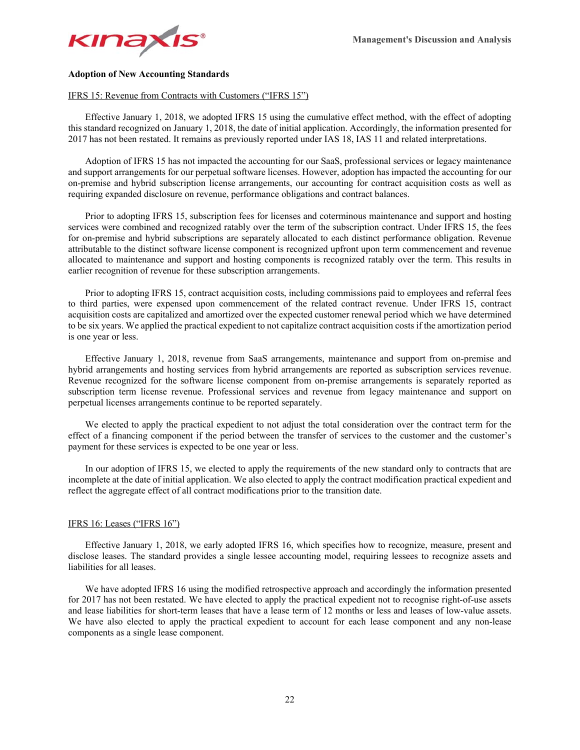

## **Adoption of New Accounting Standards**

## IFRS 15: Revenue from Contracts with Customers ("IFRS 15")

Effective January 1, 2018, we adopted IFRS 15 using the cumulative effect method, with the effect of adopting this standard recognized on January 1, 2018, the date of initial application. Accordingly, the information presented for 2017 has not been restated. It remains as previously reported under IAS 18, IAS 11 and related interpretations.

Adoption of IFRS 15 has not impacted the accounting for our SaaS, professional services or legacy maintenance and support arrangements for our perpetual software licenses. However, adoption has impacted the accounting for our on-premise and hybrid subscription license arrangements, our accounting for contract acquisition costs as well as requiring expanded disclosure on revenue, performance obligations and contract balances.

Prior to adopting IFRS 15, subscription fees for licenses and coterminous maintenance and support and hosting services were combined and recognized ratably over the term of the subscription contract. Under IFRS 15, the fees for on-premise and hybrid subscriptions are separately allocated to each distinct performance obligation. Revenue attributable to the distinct software license component is recognized upfront upon term commencement and revenue allocated to maintenance and support and hosting components is recognized ratably over the term. This results in earlier recognition of revenue for these subscription arrangements.

Prior to adopting IFRS 15, contract acquisition costs, including commissions paid to employees and referral fees to third parties, were expensed upon commencement of the related contract revenue. Under IFRS 15, contract acquisition costs are capitalized and amortized over the expected customer renewal period which we have determined to be six years. We applied the practical expedient to not capitalize contract acquisition costs if the amortization period is one year or less.

Effective January 1, 2018, revenue from SaaS arrangements, maintenance and support from on-premise and hybrid arrangements and hosting services from hybrid arrangements are reported as subscription services revenue. Revenue recognized for the software license component from on-premise arrangements is separately reported as subscription term license revenue. Professional services and revenue from legacy maintenance and support on perpetual licenses arrangements continue to be reported separately.

We elected to apply the practical expedient to not adjust the total consideration over the contract term for the effect of a financing component if the period between the transfer of services to the customer and the customer's payment for these services is expected to be one year or less.

In our adoption of IFRS 15, we elected to apply the requirements of the new standard only to contracts that are incomplete at the date of initial application. We also elected to apply the contract modification practical expedient and reflect the aggregate effect of all contract modifications prior to the transition date.

#### IFRS 16: Leases ("IFRS 16")

Effective January 1, 2018, we early adopted IFRS 16, which specifies how to recognize, measure, present and disclose leases. The standard provides a single lessee accounting model, requiring lessees to recognize assets and liabilities for all leases.

We have adopted IFRS 16 using the modified retrospective approach and accordingly the information presented for 2017 has not been restated. We have elected to apply the practical expedient not to recognise right-of-use assets and lease liabilities for short-term leases that have a lease term of 12 months or less and leases of low-value assets. We have also elected to apply the practical expedient to account for each lease component and any non-lease components as a single lease component.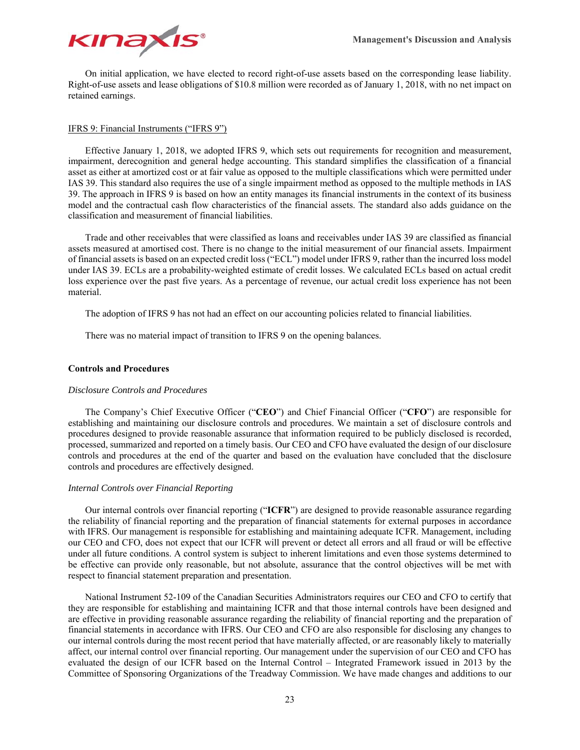

On initial application, we have elected to record right-of-use assets based on the corresponding lease liability. Right-of-use assets and lease obligations of \$10.8 million were recorded as of January 1, 2018, with no net impact on retained earnings.

## IFRS 9: Financial Instruments ("IFRS 9")

Effective January 1, 2018, we adopted IFRS 9, which sets out requirements for recognition and measurement, impairment, derecognition and general hedge accounting. This standard simplifies the classification of a financial asset as either at amortized cost or at fair value as opposed to the multiple classifications which were permitted under IAS 39. This standard also requires the use of a single impairment method as opposed to the multiple methods in IAS 39. The approach in IFRS 9 is based on how an entity manages its financial instruments in the context of its business model and the contractual cash flow characteristics of the financial assets. The standard also adds guidance on the classification and measurement of financial liabilities.

Trade and other receivables that were classified as loans and receivables under IAS 39 are classified as financial assets measured at amortised cost. There is no change to the initial measurement of our financial assets. Impairment of financial assets is based on an expected credit loss ("ECL") model under IFRS 9, rather than the incurred loss model under IAS 39. ECLs are a probability-weighted estimate of credit losses. We calculated ECLs based on actual credit loss experience over the past five years. As a percentage of revenue, our actual credit loss experience has not been material.

The adoption of IFRS 9 has not had an effect on our accounting policies related to financial liabilities.

There was no material impact of transition to IFRS 9 on the opening balances.

## **Controls and Procedures**

## *Disclosure Controls and Procedures*

The Company's Chief Executive Officer ("**CEO**") and Chief Financial Officer ("**CFO**") are responsible for establishing and maintaining our disclosure controls and procedures. We maintain a set of disclosure controls and procedures designed to provide reasonable assurance that information required to be publicly disclosed is recorded, processed, summarized and reported on a timely basis. Our CEO and CFO have evaluated the design of our disclosure controls and procedures at the end of the quarter and based on the evaluation have concluded that the disclosure controls and procedures are effectively designed.

#### *Internal Controls over Financial Reporting*

Our internal controls over financial reporting ("**ICFR**") are designed to provide reasonable assurance regarding the reliability of financial reporting and the preparation of financial statements for external purposes in accordance with IFRS. Our management is responsible for establishing and maintaining adequate ICFR. Management, including our CEO and CFO, does not expect that our ICFR will prevent or detect all errors and all fraud or will be effective under all future conditions. A control system is subject to inherent limitations and even those systems determined to be effective can provide only reasonable, but not absolute, assurance that the control objectives will be met with respect to financial statement preparation and presentation.

National Instrument 52-109 of the Canadian Securities Administrators requires our CEO and CFO to certify that they are responsible for establishing and maintaining ICFR and that those internal controls have been designed and are effective in providing reasonable assurance regarding the reliability of financial reporting and the preparation of financial statements in accordance with IFRS. Our CEO and CFO are also responsible for disclosing any changes to our internal controls during the most recent period that have materially affected, or are reasonably likely to materially affect, our internal control over financial reporting. Our management under the supervision of our CEO and CFO has evaluated the design of our ICFR based on the Internal Control – Integrated Framework issued in 2013 by the Committee of Sponsoring Organizations of the Treadway Commission. We have made changes and additions to our